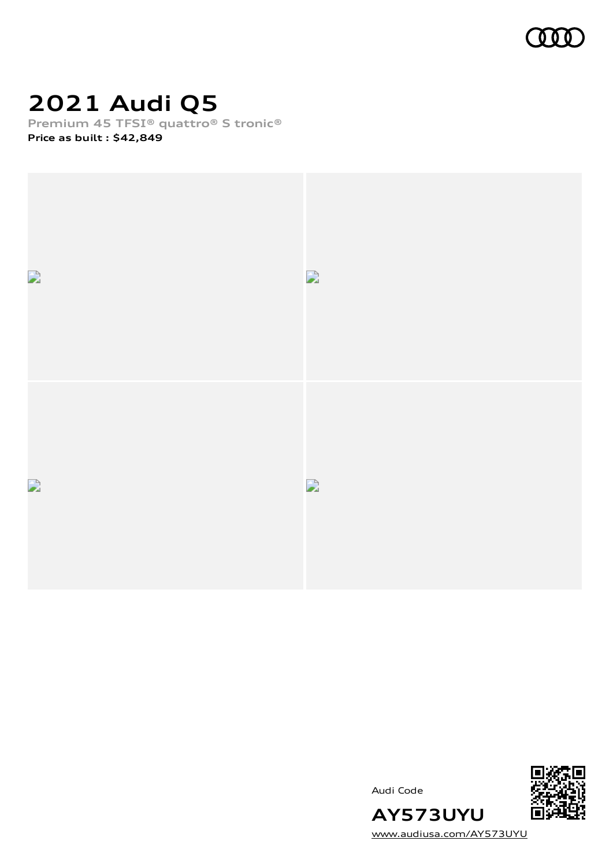

## **2021 Audi Q5**

**Premium 45 TFSI® quattro® S tronic®**

**Price as built [:](#page-10-0) \$42,849**







[www.audiusa.com/AY573UYU](https://www.audiusa.com/AY573UYU)

**AY573UYU**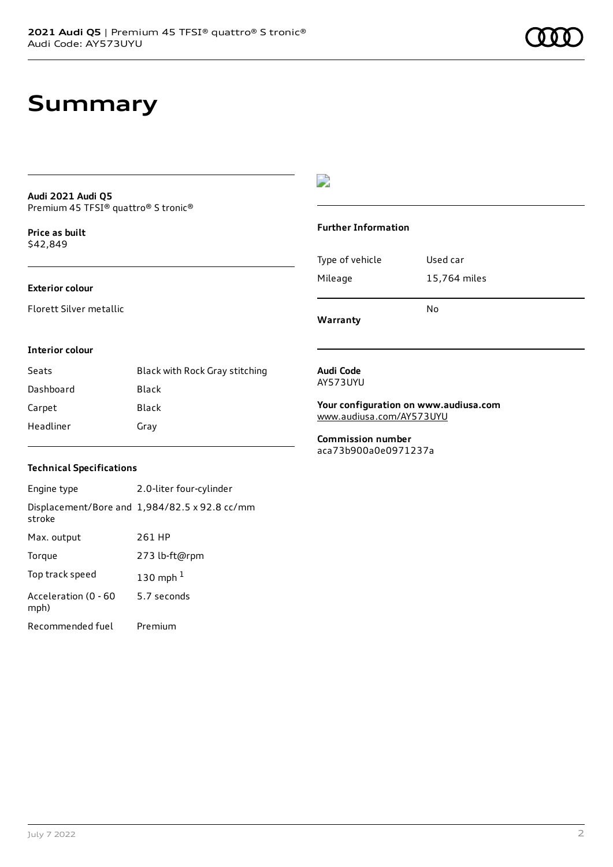#### **Audi 2021 Audi Q5** Premium 45 TFSI® quattro® S tronic®

**Price as buil[t](#page-10-0)** \$42,849

### **Exterior colour**

Florett Silver metallic

### D

#### **Further Information**

| Type of vehicle | Used car     |
|-----------------|--------------|
| Mileage         | 15,764 miles |
|                 |              |

**Warranty**

#### **Interior colour**

| Seats     | Black with Rock Gray stitching |
|-----------|--------------------------------|
| Dashboard | Black                          |
| Carpet    | Black                          |
| Headliner | Gray                           |

#### **Audi Code** AY573UYU

**Your configuration on www.audiusa.com** [www.audiusa.com/AY573UYU](https://www.audiusa.com/AY573UYU)

No

**Commission number** aca73b900a0e0971237a

### **Technical Specifications**

Engine type 2.0-liter four-cylinder Displacement/Bore and 1,984/82.5 x 92.8 cc/mm stroke Max. output 261 HP Torque 273 lb-ft@rpm Top track speed [1](#page-10-0)30 mph $<sup>1</sup>$ </sup> Acceleration (0 - 60 mph) 5.7 seconds Recommended fuel Premium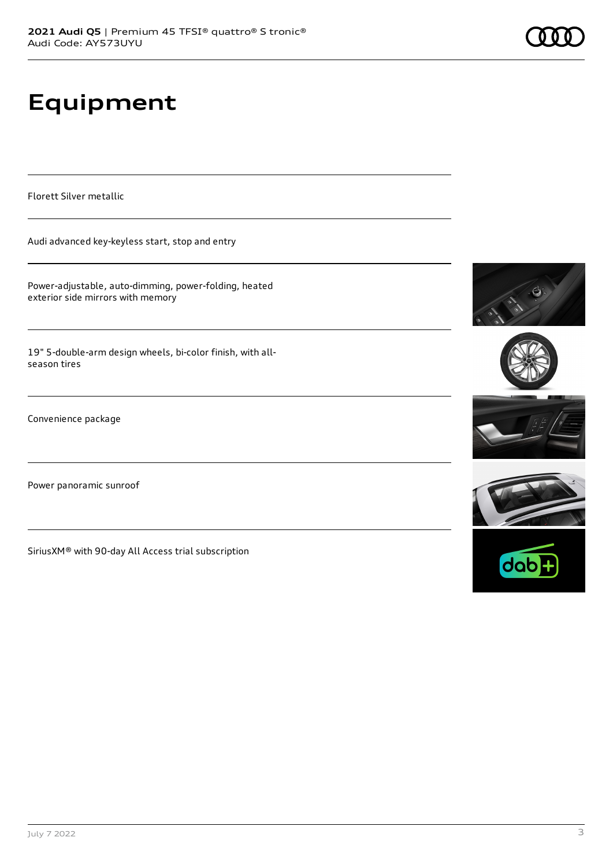# **Equipment**

Florett Silver metallic

Audi advanced key-keyless start, stop and entry

Power-adjustable, auto-dimming, power-folding, heated exterior side mirrors with memory

19" 5-double-arm design wheels, bi-color finish, with allseason tires

Convenience package

Power panoramic sunroof

SiriusXM® with 90-day All Access trial subscription











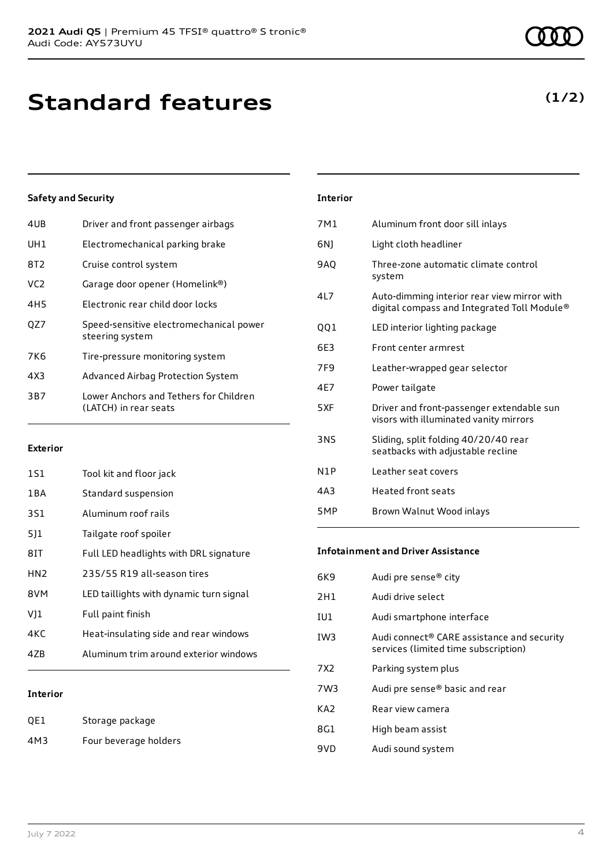### **Standard features**

### **Safety and Security**

| 4UB             | Driver and front passenger airbags                              |
|-----------------|-----------------------------------------------------------------|
| UH1             | Electromechanical parking brake                                 |
| 8T2             | Cruise control system                                           |
| VC <sub>2</sub> | Garage door opener (Homelink®)                                  |
| 4H <sub>5</sub> | Electronic rear child door locks                                |
| OZ7             | Speed-sensitive electromechanical power<br>steering system      |
| 7K6             | Tire-pressure monitoring system                                 |
| 4X3             | Advanced Airbag Protection System                               |
| 3B7             | Lower Anchors and Tethers for Children<br>(LATCH) in rear seats |
|                 |                                                                 |

#### **Exterior**

| 1S1             | Tool kit and floor jack                 |
|-----------------|-----------------------------------------|
| 1 B A           | Standard suspension                     |
| 3S1             | Aluminum roof rails                     |
| 511             | Tailgate roof spoiler                   |
| 81T             | Full LED headlights with DRL signature  |
| HN <sub>2</sub> | 235/55 R19 all-season tires             |
| 8VM             | LED taillights with dynamic turn signal |
| V11             | Full paint finish                       |
| 4KC             | Heat-insulating side and rear windows   |
| 47B             | Aluminum trim around exterior windows   |
|                 |                                         |

### **Interior**

| QE1 | Storage package       |
|-----|-----------------------|
| 4M3 | Four beverage holders |

| <b>Interior</b> |                                                                                            |
|-----------------|--------------------------------------------------------------------------------------------|
| 7M1             | Aluminum front door sill inlays                                                            |
| 6N)             | Light cloth headliner                                                                      |
| 9AQ             | Three-zone automatic climate control<br>system                                             |
| 4L7             | Auto-dimming interior rear view mirror with<br>digital compass and Integrated Toll Module® |
| QQ1             | LED interior lighting package                                                              |
| 6E3             | Front center armrest                                                                       |
| 7F9             | Leather-wrapped gear selector                                                              |
| 4E7             | Power tailgate                                                                             |
| 5XF             | Driver and front-passenger extendable sun<br>visors with illuminated vanity mirrors        |
| 3NS             | Sliding, split folding 40/20/40 rear<br>seatbacks with adjustable recline                  |
| N1P             | Leather seat covers                                                                        |
| 4A3             | <b>Heated front seats</b>                                                                  |
| 5MP             | Brown Walnut Wood inlays                                                                   |

#### **Infotainment and Driver Assistance**

| 6K9   | Audi pre sense® city                                                               |
|-------|------------------------------------------------------------------------------------|
| 2H1   | Audi drive select                                                                  |
| IU1   | Audi smartphone interface                                                          |
| IW3   | Audi connect® CARE assistance and security<br>services (limited time subscription) |
| 7 X 2 | Parking system plus                                                                |
| 7W3   | Audi pre sense® basic and rear                                                     |
| KA2   | Rear view camera                                                                   |
| 8G1   | High beam assist                                                                   |
| 9VD   | Audi sound system                                                                  |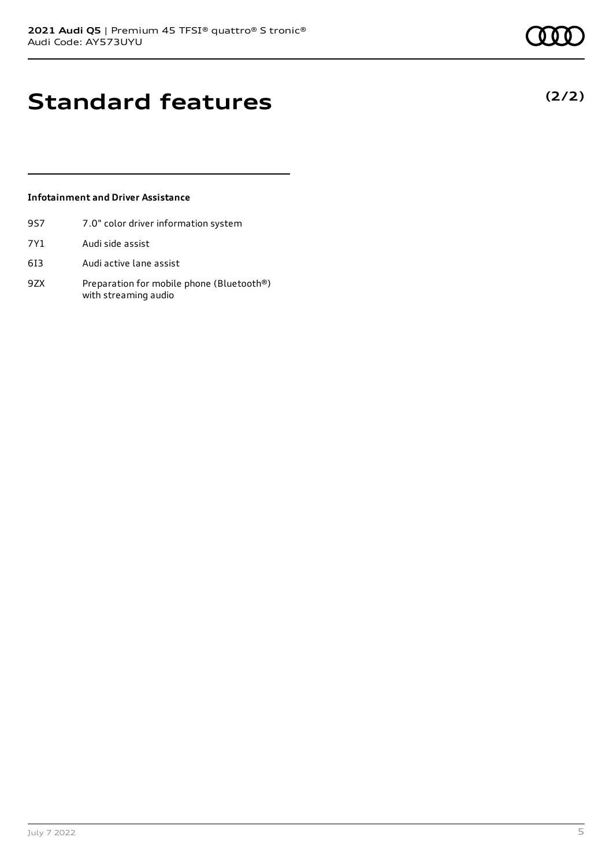**(2/2)**

### **Standard features**

### **Infotainment and Driver Assistance**

- 9S7 7.0" color driver information system
- 7Y1 Audi side assist
- 6I3 Audi active lane assist
- 9ZX Preparation for mobile phone (Bluetooth®) with streaming audio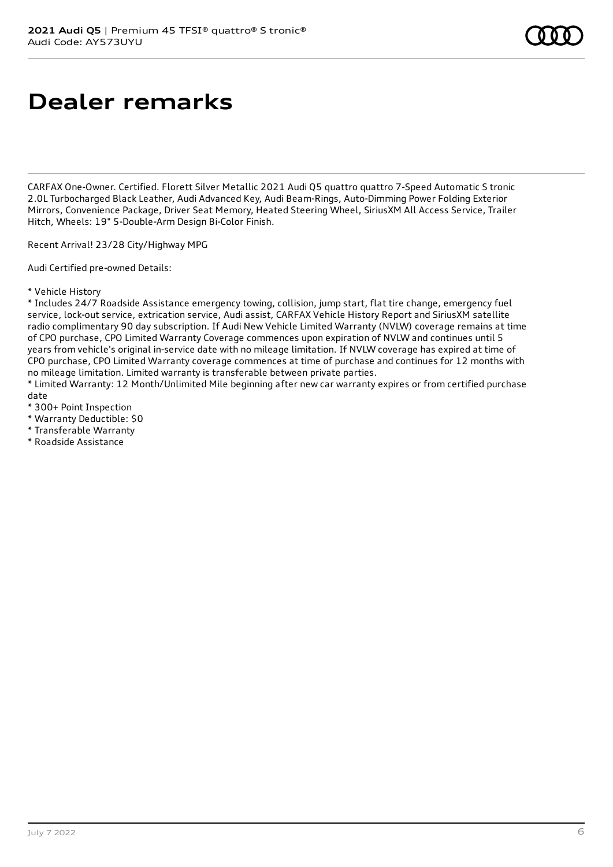### **Dealer remarks**

CARFAX One-Owner. Certified. Florett Silver Metallic 2021 Audi Q5 quattro quattro 7-Speed Automatic S tronic 2.0L Turbocharged Black Leather, Audi Advanced Key, Audi Beam-Rings, Auto-Dimming Power Folding Exterior Mirrors, Convenience Package, Driver Seat Memory, Heated Steering Wheel, SiriusXM All Access Service, Trailer Hitch, Wheels: 19" 5-Double-Arm Design Bi-Color Finish.

Recent Arrival! 23/28 City/Highway MPG

Audi Certified pre-owned Details:

\* Vehicle History

\* Includes 24/7 Roadside Assistance emergency towing, collision, jump start, flat tire change, emergency fuel service, lock-out service, extrication service, Audi assist, CARFAX Vehicle History Report and SiriusXM satellite radio complimentary 90 day subscription. If Audi New Vehicle Limited Warranty (NVLW) coverage remains at time of CPO purchase, CPO Limited Warranty Coverage commences upon expiration of NVLW and continues until 5 years from vehicle's original in-service date with no mileage limitation. If NVLW coverage has expired at time of CPO purchase, CPO Limited Warranty coverage commences at time of purchase and continues for 12 months with no mileage limitation. Limited warranty is transferable between private parties.

\* Limited Warranty: 12 Month/Unlimited Mile beginning after new car warranty expires or from certified purchase date

- \* 300+ Point Inspection
- \* Warranty Deductible: \$0
- \* Transferable Warranty
- \* Roadside Assistance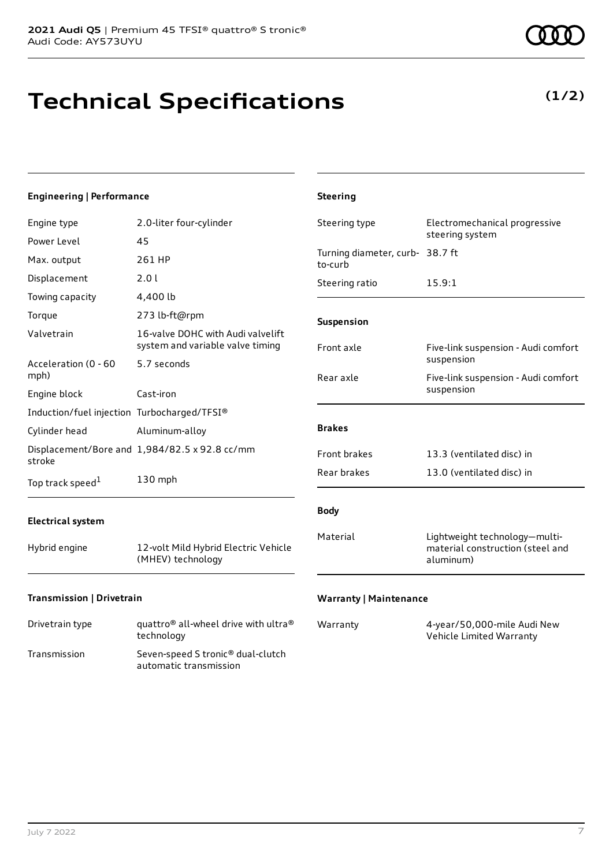# **Technical Specifications**

**(1/2)**

#### **Engineering | Performance** Engine type 2.0-liter four-cylinder Power Level 45 Max. output 261 HP Displacement 2.0 l Towing capacity 4,400 lb Torque 273 lb-ft@rpm Valvetrain 16-valve DOHC with Audi valvelift system and variable valve timing Acceleration (0 - 60 mph) 5.7 seconds Engine block Cast-iron Induction/fuel injection Turbocharged/TFSI® Cylinder head Aluminum-alloy Displacement/Bore and 1,984/82.5 x 92.8 cc/mm stroke Top track speed<sup>1</sup> [1](#page-10-0) 130 mph **Electrical system** Hybrid engine 12-volt Mild Hybrid Electric Vehicle (MHEV) technology **Transmission | Drivetrain Steering** Steering type Electromechanical progressive steering system Turning diameter, curb-38.7 ft to-curb Steering ratio 15.9:1 **Suspension** Front axle Five-link suspension - Audi comfort suspension Rear axle Five-link suspension - Audi comfort suspension **Brakes** Front brakes 13.3 (ventilated disc) in Rear brakes 13.0 (ventilated disc) in **Body** Material Lightweight technology—multimaterial construction (steel and aluminum) **Warranty | Maintenance**

| Drivetrain type | quattro <sup>®</sup> all-wheel drive with ultra <sup>®</sup><br>technology |
|-----------------|----------------------------------------------------------------------------|
| Transmission    | Seven-speed S tronic <sup>®</sup> dual-clutch<br>automatic transmission    |

| Warranty | 4-year/50,000-mile Audi New |
|----------|-----------------------------|
|          | Vehicle Limited Warranty    |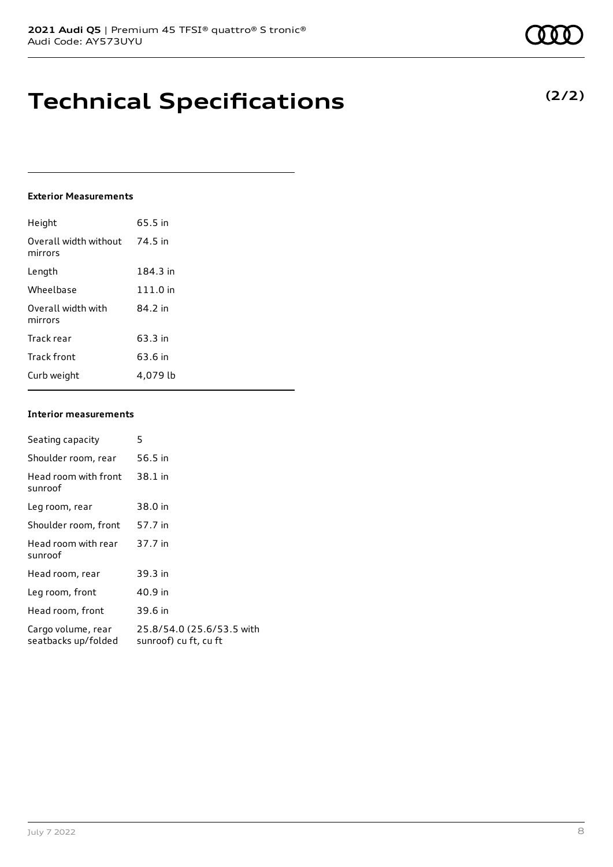### **Technical Specifications**

### **Exterior Measurements**

| Height                           | 65.5 in  |
|----------------------------------|----------|
| Overall width without<br>mirrors | 74.5 in  |
| Length                           | 184.3 in |
| Wheelbase                        | 111.0 in |
| Overall width with<br>mirrors    | 84.2 in  |
| Track rear                       | 63.3 in  |
| Track front                      | 63.6 in  |
| Curb weight                      | 4.079 lb |

### **Interior measurements**

| Seating capacity                          | 5                                                  |
|-------------------------------------------|----------------------------------------------------|
| Shoulder room, rear                       | 56.5 in                                            |
| Head room with front<br>sunroof           | 38.1 in                                            |
| Leg room, rear                            | 38.0 in                                            |
| Shoulder room, front                      | 57.7 in                                            |
| Head room with rear<br>sunroof            | 37.7 in                                            |
| Head room, rear                           | 39.3 in                                            |
| Leg room, front                           | 40.9 in                                            |
| Head room, front                          | 39.6 in                                            |
| Cargo volume, rear<br>seatbacks up/folded | 25.8/54.0 (25.6/53.5 with<br>sunroof) cu ft, cu ft |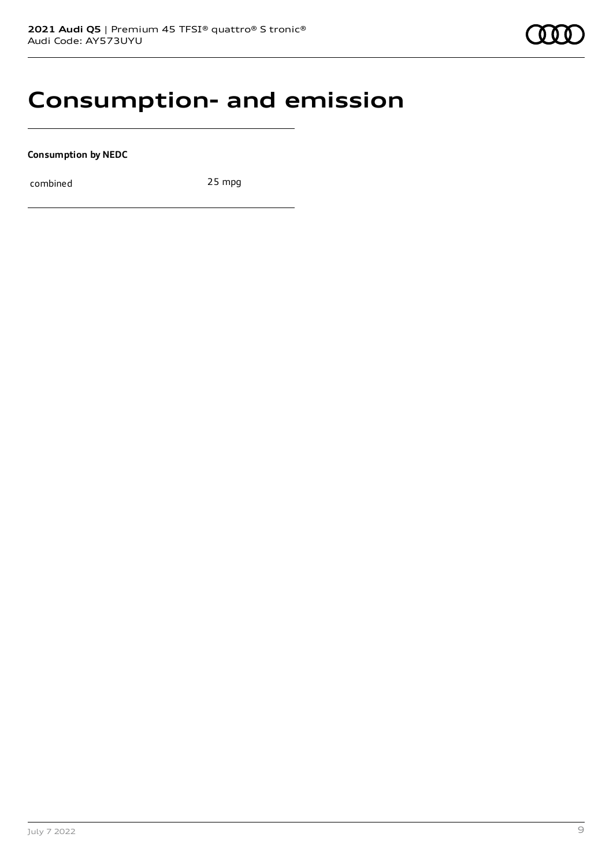### **Consumption- and emission**

**Consumption by NEDC**

combined 25 mpg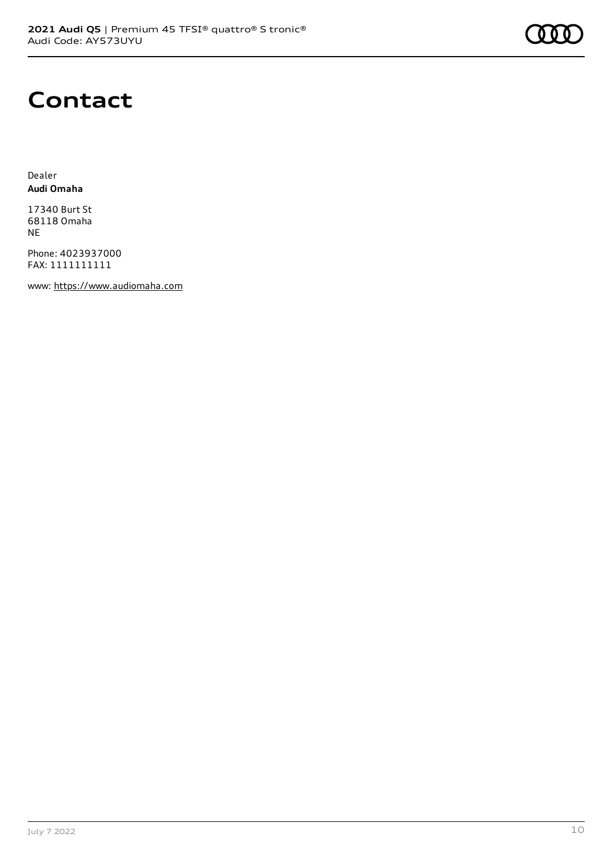

### **Contact**

Dealer **Audi Omaha**

17340 Burt St 68118 Omaha NE

Phone: 4023937000 FAX: 1111111111

www: [https://www.audiomaha.com](https://www.audiomaha.com/)